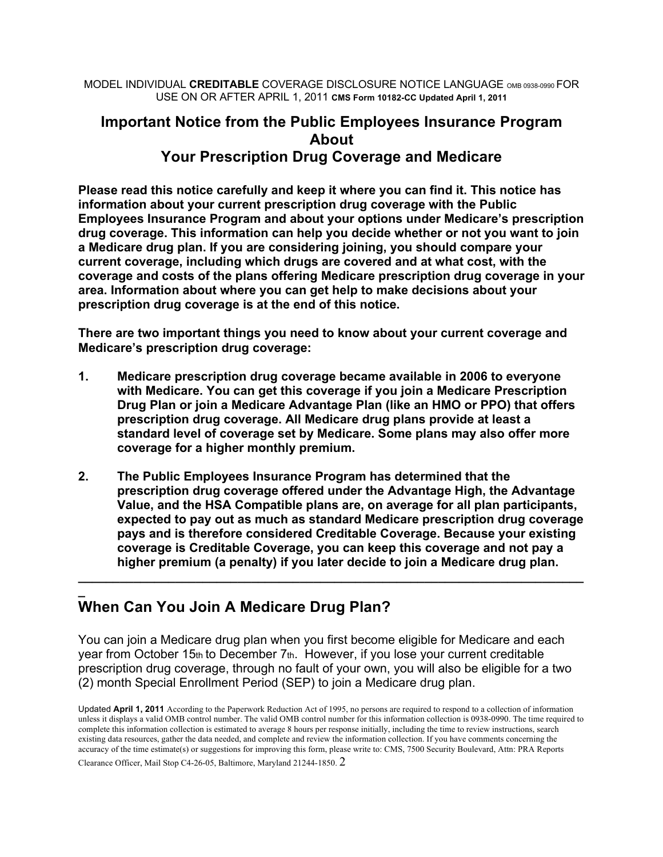MODEL INDIVIDUAL **CREDITABLE** COVERAGE DISCLOSURE NOTICE LANGUAGE OMB 0938-0990 FOR USE ON OR AFTER APRIL 1, 2011 **CMS Form 10182-CC Updated April 1, 2011**

# **Important Notice from the Public Employees Insurance Program About Your Prescription Drug Coverage and Medicare**

**Please read this notice carefully and keep it where you can find it. This notice has information about your current prescription drug coverage with the Public Employees Insurance Program and about your options under Medicare's prescription drug coverage. This information can help you decide whether or not you want to join a Medicare drug plan. If you are considering joining, you should compare your current coverage, including which drugs are covered and at what cost, with the coverage and costs of the plans offering Medicare prescription drug coverage in your area. Information about where you can get help to make decisions about your prescription drug coverage is at the end of this notice.** 

**There are two important things you need to know about your current coverage and Medicare's prescription drug coverage:** 

- **1. Medicare prescription drug coverage became available in 2006 to everyone with Medicare. You can get this coverage if you join a Medicare Prescription Drug Plan or join a Medicare Advantage Plan (like an HMO or PPO) that offers prescription drug coverage. All Medicare drug plans provide at least a standard level of coverage set by Medicare. Some plans may also offer more coverage for a higher monthly premium.**
- **2. The Public Employees Insurance Program has determined that the prescription drug coverage offered under the Advantage High, the Advantage Value, and the HSA Compatible plans are, on average for all plan participants, expected to pay out as much as standard Medicare prescription drug coverage pays and is therefore considered Creditable Coverage. Because your existing coverage is Creditable Coverage, you can keep this coverage and not pay a higher premium (a penalty) if you later decide to join a Medicare drug plan.**

**\_\_\_\_\_\_\_\_\_\_\_\_\_\_\_\_\_\_\_\_\_\_\_\_\_\_\_\_\_\_\_\_\_\_\_\_\_\_\_\_\_\_\_\_\_\_\_\_\_\_\_\_\_\_\_\_\_\_\_\_\_\_\_\_\_\_\_\_\_\_\_\_\_**

#### **\_ When Can You Join A Medicare Drug Plan?**

You can join a Medicare drug plan when you first become eligible for Medicare and each year from October 15th to December 7th. However, if you lose your current creditable prescription drug coverage, through no fault of your own, you will also be eligible for a two (2) month Special Enrollment Period (SEP) to join a Medicare drug plan.

Clearance Officer, Mail Stop C4-26-05, Baltimore, Maryland 21244-1850. 2

Updated **April 1, 2011** According to the Paperwork Reduction Act of 1995, no persons are required to respond to a collection of information unless it displays a valid OMB control number. The valid OMB control number for this information collection is 0938-0990. The time required to complete this information collection is estimated to average 8 hours per response initially, including the time to review instructions, search existing data resources, gather the data needed, and complete and review the information collection. If you have comments concerning the accuracy of the time estimate(s) or suggestions for improving this form, please write to: CMS, 7500 Security Boulevard, Attn: PRA Reports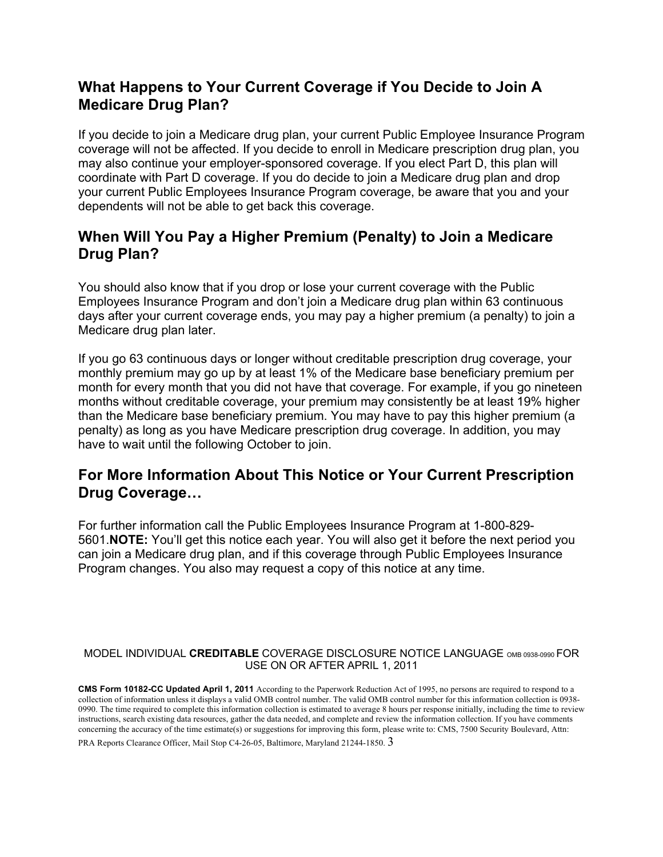### **What Happens to Your Current Coverage if You Decide to Join A Medicare Drug Plan?**

If you decide to join a Medicare drug plan, your current Public Employee Insurance Program coverage will not be affected. If you decide to enroll in Medicare prescription drug plan, you may also continue your employer-sponsored coverage. If you elect Part D, this plan will coordinate with Part D coverage. If you do decide to join a Medicare drug plan and drop your current Public Employees Insurance Program coverage, be aware that you and your dependents will not be able to get back this coverage.

### **When Will You Pay a Higher Premium (Penalty) to Join a Medicare Drug Plan?**

You should also know that if you drop or lose your current coverage with the Public Employees Insurance Program and don't join a Medicare drug plan within 63 continuous days after your current coverage ends, you may pay a higher premium (a penalty) to join a Medicare drug plan later.

If you go 63 continuous days or longer without creditable prescription drug coverage, your monthly premium may go up by at least 1% of the Medicare base beneficiary premium per month for every month that you did not have that coverage. For example, if you go nineteen months without creditable coverage, your premium may consistently be at least 19% higher than the Medicare base beneficiary premium. You may have to pay this higher premium (a penalty) as long as you have Medicare prescription drug coverage. In addition, you may have to wait until the following October to join.

## **For More Information About This Notice or Your Current Prescription Drug Coverage…**

For further information call the Public Employees Insurance Program at 1-800-829- 5601.**NOTE:** You'll get this notice each year. You will also get it before the next period you can join a Medicare drug plan, and if this coverage through Public Employees Insurance Program changes. You also may request a copy of this notice at any time.

#### MODEL INDIVIDUAL **CREDITABLE** COVERAGE DISCLOSURE NOTICE LANGUAGE OMB 0938-0990 FOR USE ON OR AFTER APRIL 1, 2011

**CMS Form 10182-CC Updated April 1, 2011** According to the Paperwork Reduction Act of 1995, no persons are required to respond to a collection of information unless it displays a valid OMB control number. The valid OMB control number for this information collection is 0938- 0990. The time required to complete this information collection is estimated to average 8 hours per response initially, including the time to review instructions, search existing data resources, gather the data needed, and complete and review the information collection. If you have comments concerning the accuracy of the time estimate(s) or suggestions for improving this form, please write to: CMS, 7500 Security Boulevard, Attn:

PRA Reports Clearance Officer, Mail Stop C4-26-05, Baltimore, Maryland 21244-1850. 3